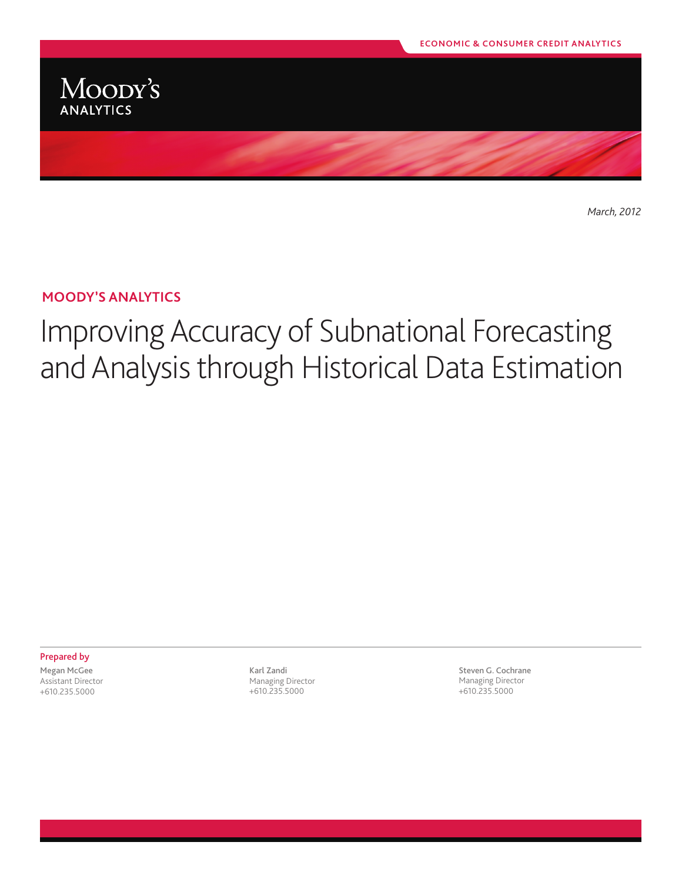

*March, 2012*

## **Moody's analytics**

# Improving Accuracy of Subnational Forecasting and Analysis through Historical Data Estimation

Prepared by Megan McGee

Assistant Director +610.235.5000

Karl Zandi Managing Director +610.235.5000

Steven G. Cochrane Managing Director +610.235.5000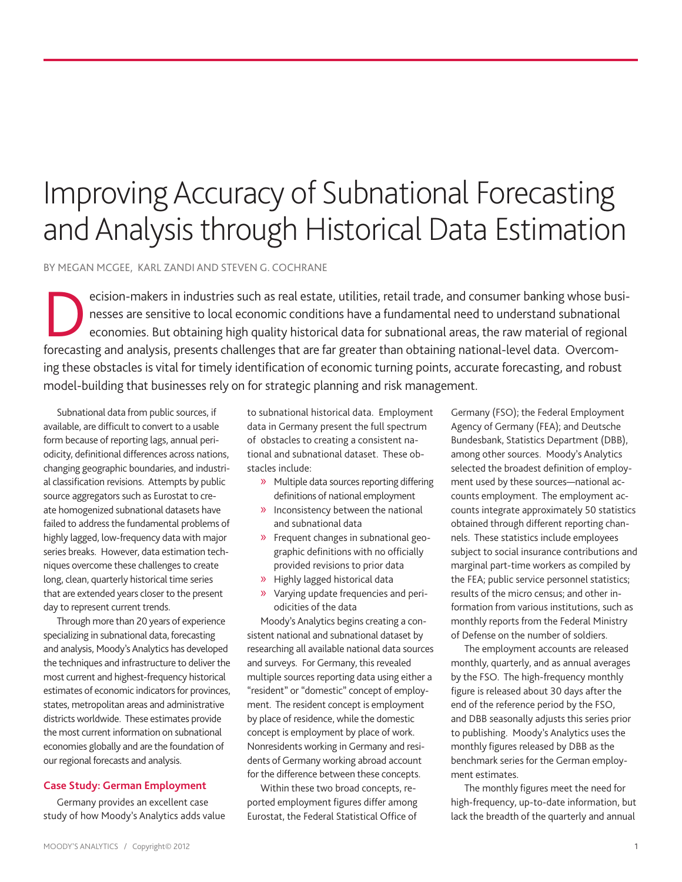# Improving Accuracy of Subnational Forecasting and Analysis through Historical Data Estimation

By Megan McGee, Karl Zandi and Steven g. cochrane

ecision-makers in industries such as real estate, utilities, retail trade, and consumer banking whose businesses are sensitive to local economic conditions have a fundamental need to understand subnational economies. But obtaining high quality historical data for subnational areas, the raw material of regional forecasting and analysis, presents challenges that are far greater than obtaining national-level data. Overcoming these obstacles is vital for timely identification of economic turning points, accurate forecasting, and robust model-building that businesses rely on for strategic planning and risk management.

Subnational data from public sources, if available, are difficult to convert to a usable form because of reporting lags, annual periodicity, definitional differences across nations, changing geographic boundaries, and industrial classification revisions. Attempts by public source aggregators such as Eurostat to create homogenized subnational datasets have failed to address the fundamental problems of highly lagged, low-frequency data with major series breaks. However, data estimation techniques overcome these challenges to create long, clean, quarterly historical time series that are extended years closer to the present day to represent current trends.

Through more than 20 years of experience specializing in subnational data, forecasting and analysis, Moody's Analytics has developed the techniques and infrastructure to deliver the most current and highest-frequency historical estimates of economic indicators for provinces, states, metropolitan areas and administrative districts worldwide. These estimates provide the most current information on subnational economies globally and are the foundation of our regional forecasts and analysis.

#### **Case Study: German Employment**

Germany provides an excellent case study of how Moody's Analytics adds value

to subnational historical data. Employment data in Germany present the full spectrum of obstacles to creating a consistent national and subnational dataset. These obstacles include:

- » Multiple data sources reporting differing definitions of national employment
- » Inconsistency between the national and subnational data
- » Frequent changes in subnational geographic definitions with no officially provided revisions to prior data
- » Highly lagged historical data
- » Varying update frequencies and periodicities of the data

Moody's Analytics begins creating a consistent national and subnational dataset by researching all available national data sources and surveys. For Germany, this revealed multiple sources reporting data using either a "resident" or "domestic" concept of employment. The resident concept is employment by place of residence, while the domestic concept is employment by place of work. Nonresidents working in Germany and residents of Germany working abroad account for the difference between these concepts.

Within these two broad concepts, reported employment figures differ among Eurostat, the Federal Statistical Office of

Germany (FSO); the Federal Employment Agency of Germany (FEA); and Deutsche Bundesbank, Statistics Department (DBB), among other sources. Moody's Analytics selected the broadest definition of employment used by these sources—national accounts employment. The employment accounts integrate approximately 50 statistics obtained through different reporting channels. These statistics include employees subject to social insurance contributions and marginal part-time workers as compiled by the FEA; public service personnel statistics; results of the micro census; and other information from various institutions, such as monthly reports from the Federal Ministry of Defense on the number of soldiers.

The employment accounts are released monthly, quarterly, and as annual averages by the FSO. The high-frequency monthly figure is released about 30 days after the end of the reference period by the FSO, and DBB seasonally adjusts this series prior to publishing. Moody's Analytics uses the monthly figures released by DBB as the benchmark series for the German employment estimates.

The monthly figures meet the need for high-frequency, up-to-date information, but lack the breadth of the quarterly and annual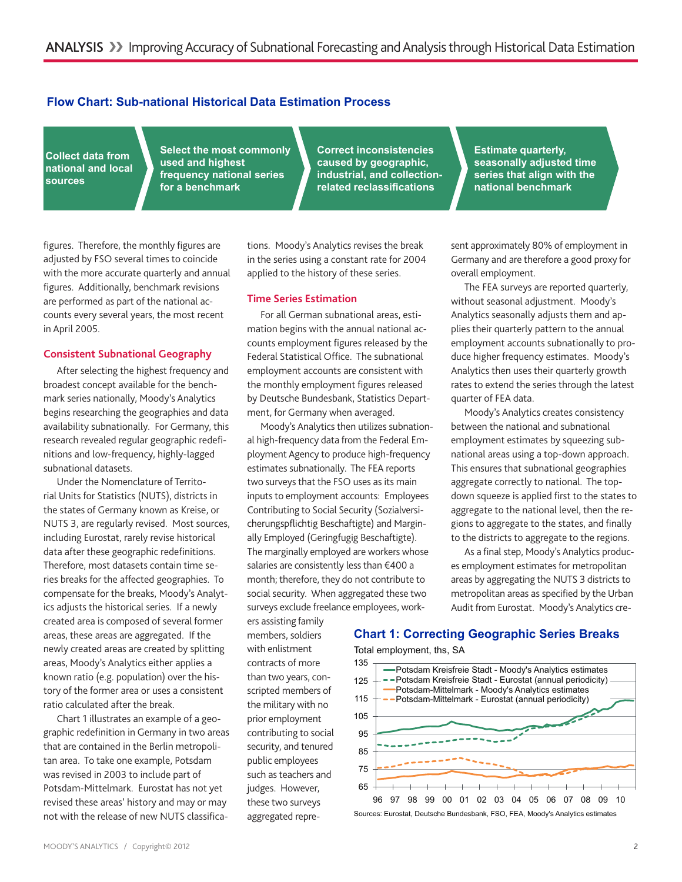### **Flow Chart: Sub-national Historical Data Estimation Process**

**Collect data from national and local sources**

**Select the most commonly used and highest frequency national series for a benchmark**

**Correct inconsistencies caused by geographic, industrial, and collectionrelated reclassifications**

**Estimate quarterly, seasonally adjusted time series that align with the national benchmark**

sent approximately 80% of employment in Germany and are therefore a good proxy for

The FEA surveys are reported quarterly, without seasonal adjustment. Moody's Analytics seasonally adjusts them and applies their quarterly pattern to the annual employment accounts subnationally to produce higher frequency estimates. Moody's Analytics then uses their quarterly growth rates to extend the series through the latest

Moody's Analytics creates consistency between the national and subnational employment estimates by squeezing subnational areas using a top-down approach. This ensures that subnational geographies aggregate correctly to national. The topdown squeeze is applied first to the states to **1** aggregate to the national level, then the re-

overall employment.

quarter of FEA data.

figures. Therefore, the monthly figures are adjusted by FSO several times to coincide with the more accurate quarterly and annual figures. Additionally, benchmark revisions are performed as part of the national accounts every several years, the most recent in April 2005.

#### **Consistent Subnational Geography**

After selecting the highest frequency and broadest concept available for the benchmark series nationally, Moody's Analytics begins researching the geographies and data availability subnationally. For Germany, this research revealed regular geographic redefinitions and low-frequency, highly-lagged subnational datasets.

Under the Nomenclature of Territorial Units for Statistics (NUTS), districts in the states of Germany known as Kreise, or NUTS 3, are regularly revised. Most sources, including Eurostat, rarely revise historical data after these geographic redefinitions. Therefore, most datasets contain time series breaks for the affected geographies. To compensate for the breaks, Moody's Analytics adjusts the historical series. If a newly created area is composed of several former areas, these areas are aggregated. If the newly created areas are created by splitting areas, Moody's Analytics either applies a known ratio (e.g. population) over the history of the former area or uses a consistent ratio calculated after the break.

Chart 1 illustrates an example of a geographic redefinition in Germany in two areas that are contained in the Berlin metropolitan area. To take one example, Potsdam was revised in 2003 to include part of Potsdam-Mittelmark. Eurostat has not yet revised these areas' history and may or may not with the release of new NUTS classifications. Moody's Analytics revises the break in the series using a constant rate for 2004 applied to the history of these series.

#### **Time Series Estimation**

For all German subnational areas, estimation begins with the annual national accounts employment figures released by the Federal Statistical Office. The subnational employment accounts are consistent with the monthly employment figures released by Deutsche Bundesbank, Statistics Department, for Germany when averaged.

Moody's Analytics then utilizes subnational high-frequency data from the Federal Employment Agency to produce high-frequency estimates subnationally. The FEA reports two surveys that the FSO uses as its main inputs to employment accounts: Employees Contributing to Social Security (Sozialversicherungspflichtig Beschaftigte) and Marginally Employed (Geringfugig Beschaftigte). The marginally employed are workers whose salaries are consistently less than €400 a month; therefore, they do not contribute to social security. When aggregated these two surveys exclude freelance employees, work-

ers assisting family members, soldiers with enlistment contracts of more than two years, conscripted members of the military with no prior employment contributing to social security, and tenured public employees such as teachers and judges. However, these two surveys aggregated repre-

#### gions to aggregate to the states, and finally to the districts to aggregate to the regions.

As a final step, Moody's Analytics produces employment estimates for metropolitan areas by aggregating the NUTS 3 districts to metropolitan areas as specified by the Urban Audit from Eurostat. Moody's Analytics cre-

## **Chart 1: Correcting Geographic Series Breaks**

Total employment, ths, SA



MOODY'S ANALYTICS / Copyright© 2012 2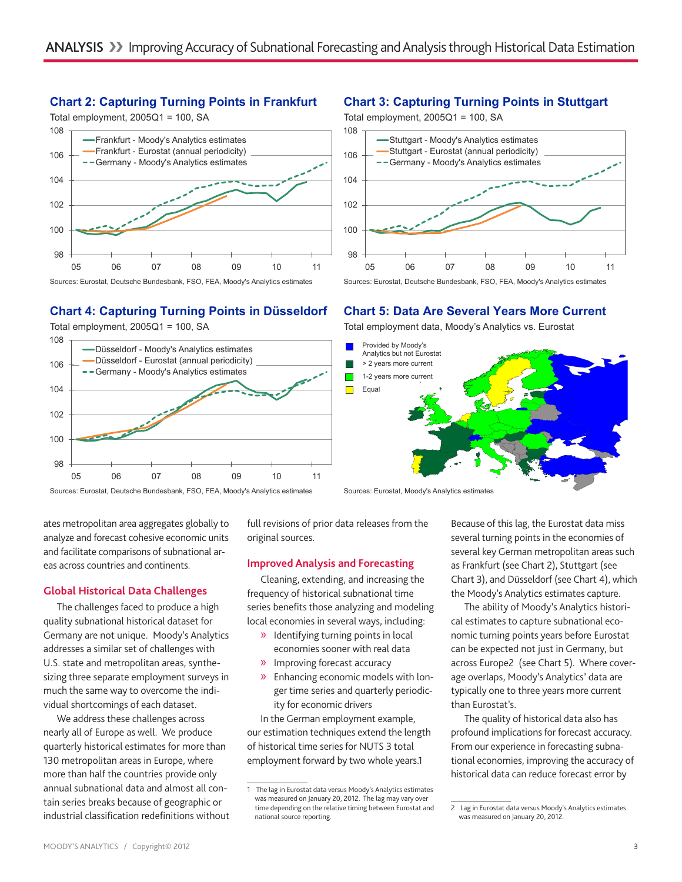### **Chart 2: Capturing Turning Points in Frankfurt**

Total employment,  $2005Q1 = 100$ , SA



## **Chart 4: Capturing Turning Points in Düsseldorf**

98 100 102 104 106 108 05 06 07 08 09 10 11 Düsseldorf - Moody's Analytics estimates Düsseldorf - Eurostat (annual periodicity) -- Germany - Moody's Analytics estimates Total employment,  $2005Q1 = 100$ , SA

Sources: Eurostat, Deutsche Bundesbank, FSO, FEA, Moody's Analytics estimates

full revisions of prior data releases from the original sources.

#### **Improved Analysis and Forecasting**

Cleaning, extending, and increasing the frequency of historical subnational time series benefits those analyzing and modeling local economies in several ways, including:

- » Identifying turning points in local economies sooner with real data
- » Improving forecast accuracy
- » Enhancing economic models with longer time series and quarterly periodicity for economic drivers

In the German employment example, our estimation techniques extend the length of historical time series for NUTS 3 total employment forward by two whole years.1

## **Chart 3: Capturing Turning Points in Stuttgart**



Sources: Eurostat, Deutsche Bundesbank, FSO, FEA, Moody's Analytics estimates

## **Chart 5: Data Are Several Years More Current**

Total employment data, Moody's Analytics vs. Eurostat



Sources: Eurostat, Moody's Analytics estimates

Because of this lag, the Eurostat data miss several turning points in the economies of several key German metropolitan areas such as Frankfurt (see Chart 2), Stuttgart (see Chart 3), and Düsseldorf (see Chart 4), which the Moody's Analytics estimates capture.

The ability of Moody's Analytics historical estimates to capture subnational economic turning points years before Eurostat can be expected not just in Germany, but across Europe2 (see Chart 5). Where coverage overlaps, Moody's Analytics' data are typically one to three years more current than Eurostat's.

The quality of historical data also has profound implications for forecast accuracy. From our experience in forecasting subnational economies, improving the accuracy of historical data can reduce forecast error by

### analyze and forecast cohesive economic units and facilitate comparisons of subnational areas across countries and continents.

ates metropolitan area aggregates globally to

#### **Global Historical Data Challenges**

The challenges faced to produce a high quality subnational historical dataset for Germany are not unique. Moody's Analytics addresses a similar set of challenges with U.S. state and metropolitan areas, synthesizing three separate employment surveys in much the same way to overcome the individual shortcomings of each dataset.

We address these challenges across nearly all of Europe as well. We produce quarterly historical estimates for more than 130 metropolitan areas in Europe, where more than half the countries provide only annual subnational data and almost all contain series breaks because of geographic or industrial classification redefinitions without

<sup>1</sup> The lag in Eurostat data versus Moody's Analytics estimates was measured on January 20, 2012. The lag may vary over time depending on the relative timing between Eurostat and national source reporting.

<sup>2</sup> Lag in Eurostat data versus Moody's Analytics estimates was measured on January 20, 2012.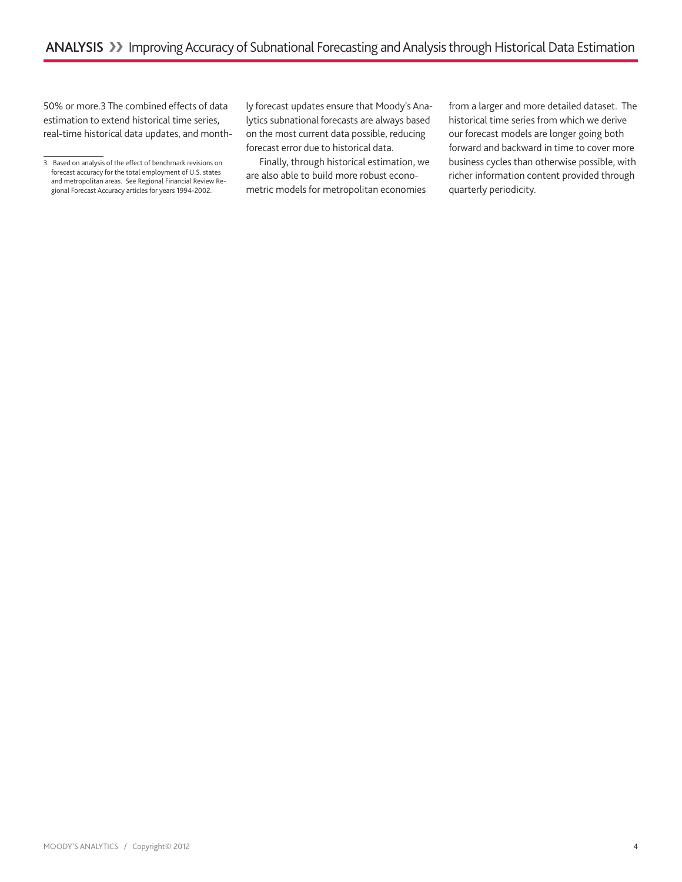50% or more.3 The combined effects of data estimation to extend historical time series, real-time historical data updates, and month-

ly forecast updates ensure that Moody's Analytics subnational forecasts are always based on the most current data possible, reducing forecast error due to historical data.

Finally, through historical estimation, we are also able to build more robust econometric models for metropolitan economies

from a larger and more detailed dataset. The historical time series from which we derive our forecast models are longer going both forward and backward in time to cover more business cycles than otherwise possible, with richer information content provided through quarterly periodicity.

<sup>3</sup> Based on analysis of the effect of benchmark revisions on forecast accuracy for the total employment of U.S. states and metropolitan areas. See Regional Financial Review Regional Forecast Accuracy articles for years 1994-2002.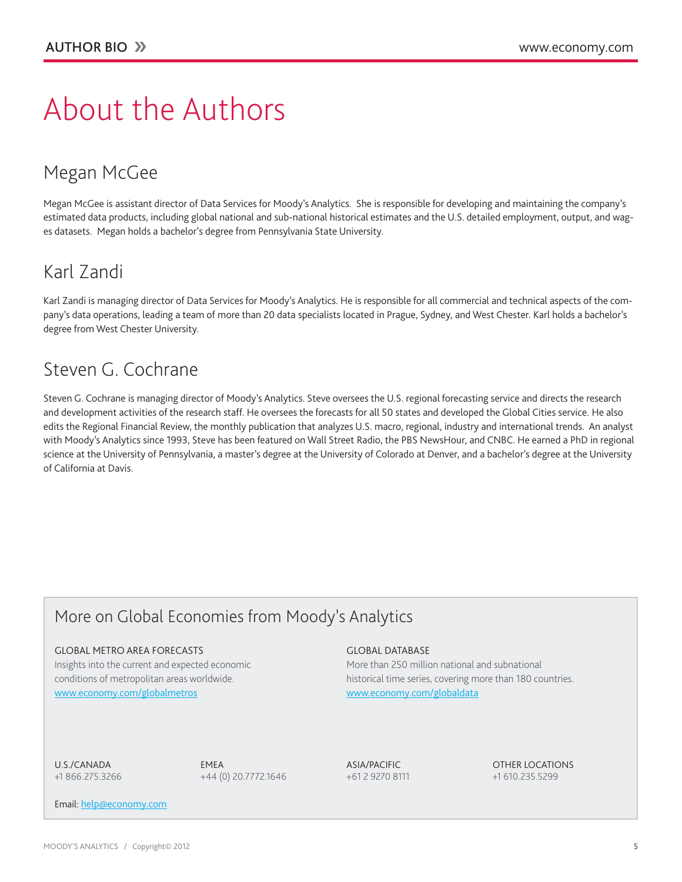# About the Authors

# Megan McGee

Megan McGee is assistant director of Data Services for Moody's Analytics. She is responsible for developing and maintaining the company's estimated data products, including global national and sub-national historical estimates and the U.S. detailed employment, output, and wages datasets. Megan holds a bachelor's degree from Pennsylvania State University.

# Karl Zandi

Karl Zandi is managing director of Data Services for Moody's Analytics. He is responsible for all commercial and technical aspects of the company's data operations, leading a team of more than 20 data specialists located in Prague, Sydney, and West Chester. Karl holds a bachelor's degree from West Chester University.

# Steven G. Cochrane

Steven G. Cochrane is managing director of Moody's Analytics. Steve oversees the U.S. regional forecasting service and directs the research and development activities of the research staff. He oversees the forecasts for all 50 states and developed the Global Cities service. He also edits the Regional Financial Review, the monthly publication that analyzes U.S. macro, regional, industry and international trends. An analyst with Moody's Analytics since 1993, Steve has been featured on Wall Street Radio, the PBS NewsHour, and CNBC. He earned a PhD in regional science at the University of Pennsylvania, a master's degree at the University of Colorado at Denver, and a bachelor's degree at the University of California at Davis.

# More on Global Economies from Moody's Analytics

#### **GLOBAL METRO AREA FORECASTS**

Insights into the current and expected economic conditions of metropolitan areas worldwide. [www.economy.com/](http://www.economy.com/globalmetros)globalmetros

#### Global database

More than 250 million national and subnational historical time series, covering more than 180 countries. [www.economy.com/globaldata](http://www.economy.com/globaldata)

U.S./Canada +1 866.275.3266

EMEA +44 (0) 20.7772.1646 Asia/Pacific +61 2 9270 8111 Other Locations +1 610.235.5299

Email: [help@economy.com](mailto:help%40economy.com?subject=Requesting%20more%20information%20on%20Global%20Metros.)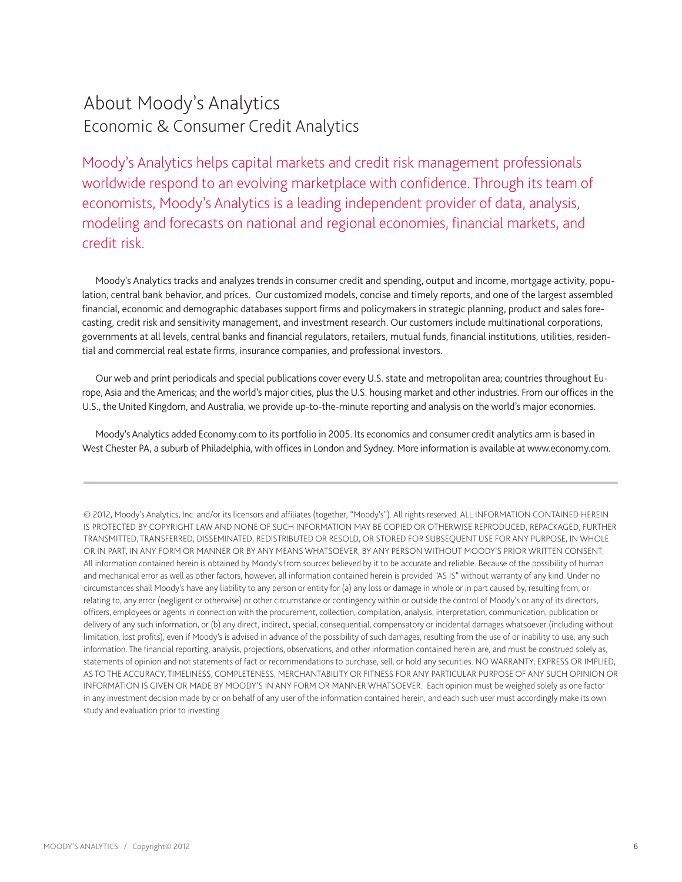# About Moody's Analytics Economic & Consumer Credit Analytics

Moody's Analytics helps capital markets and credit risk management professionals worldwide respond to an evolving marketplace with confidence. Through its team of economists, Moody's Analytics is a leading independent provider of data, analysis, modeling and forecasts on national and regional economies, financial markets, and credit risk.

Moody's Analytics tracks and analyzes trends in consumer credit and spending, output and income, mortgage activity, population, central bank behavior, and prices. Our customized models, concise and timely reports, and one of the largest assembled financial, economic and demographic databases support firms and policymakers in strategic planning, product and sales forecasting, credit risk and sensitivity management, and investment research. Our customers include multinational corporations, governments at all levels, central banks and financial regulators, retailers, mutual funds, financial institutions, utilities, residential and commercial real estate firms, insurance companies, and professional investors.

Our web and print periodicals and special publications cover every U.S. state and metropolitan area; countries throughout Europe, Asia and the Americas; and the world's major cities, plus the U.S. housing market and other industries. From our offices in the U.S., the United Kingdom, and Australia, we provide up-to-the-minute reporting and analysis on the world's major economies.

Moody's Analytics added Economy.com to its portfolio in 2005. Its economics and consumer credit analytics arm is based in West Chester PA, a suburb of Philadelphia, with offices in London and Sydney. More information is available at www.economy.com.

© 2012, Moody's Analytics, Inc. and/or its licensors and affiliates (together, "Moody's"). All rights reserved. ALL INFORMATION CONTAINED HEREIN IS PROTECTED BY COPYRIGHT LAW AND NONE OF SUCH INFORMATION MAY BE COPIED OR OTHERWISE REPRODUCED, REPACKAGED, FURTHER TRANSMITTED, TRANSFERRED, DISSEMINATED, REDISTRIBUTED OR RESOLD, OR STORED FOR SUBSEQUENT USE FOR ANY PURPOSE, IN WHOLE OR IN PART, IN ANY FORM OR MANNER OR BY ANY MEANS WHATSOEVER, BY ANY PERSON WITHOUT MOODY'S PRIOR WRITTEN CONSENT. All information contained herein is obtained by Moody's from sources believed by it to be accurate and reliable. Because of the possibility of human and mechanical error as well as other factors, however, all information contained herein is provided "AS IS" without warranty of any kind. Under no circumstances shall Moody's have any liability to any person or entity for (a) any loss or damage in whole or in part caused by, resulting from, or relating to, any error (negligent or otherwise) or other circumstance or contingency within or outside the control of Moody's or any of its directors, officers, employees or agents in connection with the procurement, collection, compilation, analysis, interpretation, communication, publication or delivery of any such information, or (b) any direct, indirect, special, consequential, compensatory or incidental damages whatsoever (including without limitation, lost profits), even if Moody's is advised in advance of the possibility of such damages, resulting from the use of or inability to use, any such information. The financial reporting, analysis, projections, observations, and other information contained herein are, and must be construed solely as, statements of opinion and not statements of fact or recommendations to purchase, sell, or hold any securities. NO WARRANTY, EXPRESS OR IMPLIED, AS TO THE ACCURACY, TIMELINESS, COMPLETENESS, MERCHANTABILITY OR FITNESS FOR ANY PARTICULAR PURPOSE OF ANY SUCH OPINION OR INFORMATION IS GIVEN OR MADE BY MOODY'S IN ANY FORM OR MANNER WHATSOEVER. Each opinion must be weighed solely as one factor in any investment decision made by or on behalf of any user of the information contained herein, and each such user must accordingly make its own study and evaluation prior to investing.